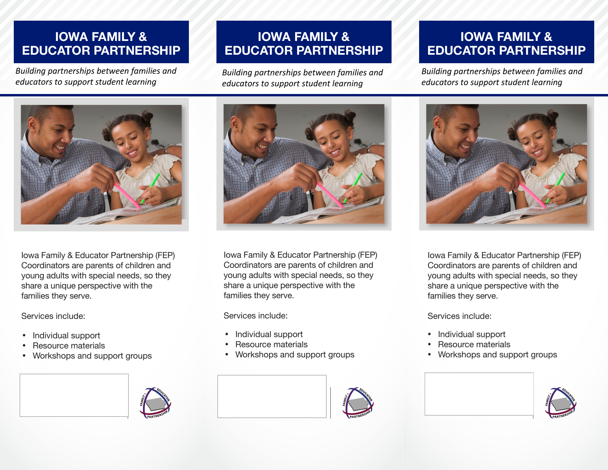## **IOWA FAMILY & EDUCATOR PARTNERSHIP**

*Building partnerships between families and educators to support student learning* 

# **IOWA FAMILY & EDUCATOR PARTNERSHIP**

*Building partnerships between families and educators to support student learning*

## **IOWA FAMILY & EDUCATOR PARTNERSHIP**

*Building partnerships between families and educators to support student learning*



Iowa Family & Educator Partnership (FEP) Coordinators are parents of children and young adults with special needs, so they share a unique perspective with the families they serve.

Services include:

- Individual support
- Resource materials
- Workshops and support groups





Iowa Family & Educator Partnership (FEP) Coordinators are parents of children and young adults with special needs, so they share a unique perspective with the families they serve.

Services include:

- Individual support
- Resource materials
- Workshops and support groups





Iowa Family & Educator Partnership (FEP) Coordinators are parents of children and young adults with special needs, so they share a unique perspective with the families they serve.

Services include:

- Individual support
- Resource materials
- Workshops and support groups